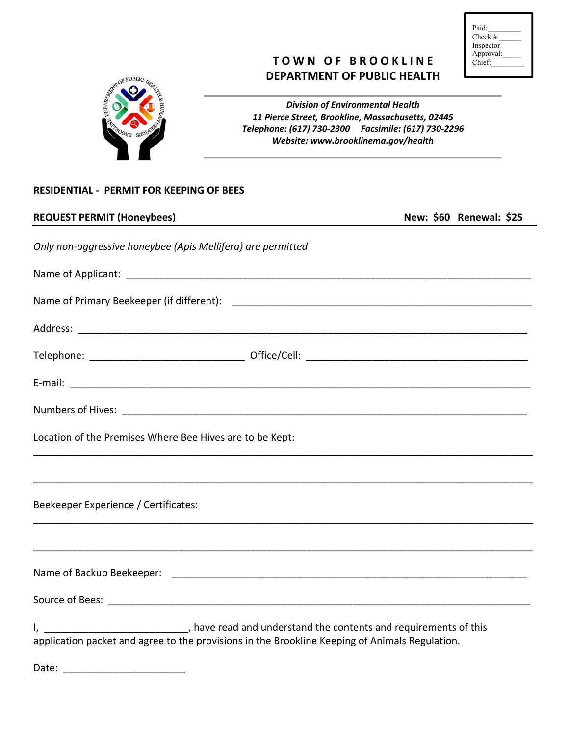| Paid:        |  |
|--------------|--|
| Check $\#$ : |  |
| Inspector    |  |
| Approval:    |  |
| Chief:       |  |
|              |  |

# **TOWN OF BROOKLINE DEPARTMENT OF PUBLIC HEALTH**



*Division of Environmental Health 11 Pierce Street, Brookline, Massachusetts, 02445 Telephone: (617) 730‐2300 Facsimile: (617) 730‐2296 Website: www.brooklinema.gov/health*

### **RESIDENTIAL ‐ PERMIT FOR KEEPING OF BEES**

| <b>REQUEST PERMIT (Honeybees)</b>                                                                                                                                                                  |  | New: \$60 Renewal: \$25 |  |
|----------------------------------------------------------------------------------------------------------------------------------------------------------------------------------------------------|--|-------------------------|--|
| Only non-aggressive honeybee (Apis Mellifera) are permitted                                                                                                                                        |  |                         |  |
|                                                                                                                                                                                                    |  |                         |  |
|                                                                                                                                                                                                    |  |                         |  |
|                                                                                                                                                                                                    |  |                         |  |
|                                                                                                                                                                                                    |  |                         |  |
|                                                                                                                                                                                                    |  |                         |  |
|                                                                                                                                                                                                    |  |                         |  |
| Location of the Premises Where Bee Hives are to be Kept:                                                                                                                                           |  |                         |  |
|                                                                                                                                                                                                    |  |                         |  |
| Beekeeper Experience / Certificates:                                                                                                                                                               |  |                         |  |
|                                                                                                                                                                                                    |  |                         |  |
|                                                                                                                                                                                                    |  |                         |  |
|                                                                                                                                                                                                    |  |                         |  |
| I, _____________________________, have read and understand the contents and requirements of this<br>application packet and agree to the provisions in the Brookline Keeping of Animals Regulation. |  |                         |  |

Date: \_\_\_\_\_\_\_\_\_\_\_\_\_\_\_\_\_\_\_\_\_\_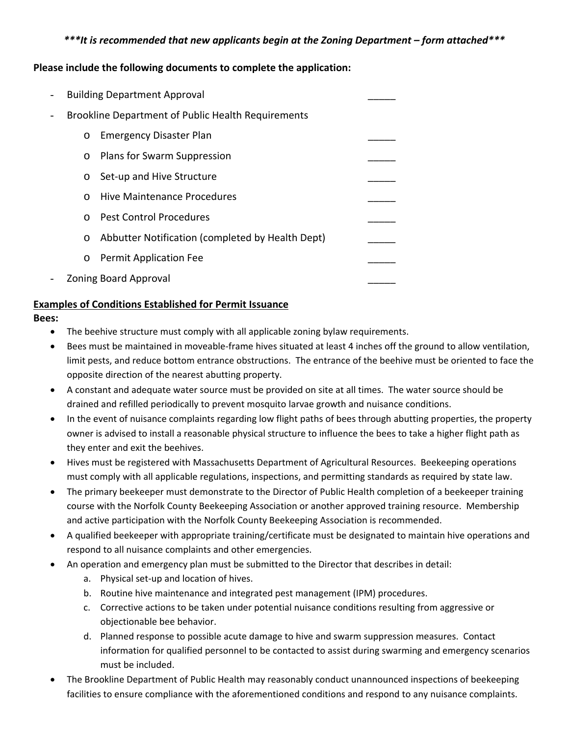# *\*\*\*It is recommended that new applicants begin at the Zoning Department – form attached\*\*\**

## **Please include the following documents to complete the application:**

| - | <b>Building Department Approval</b>                         |  |  |  |
|---|-------------------------------------------------------------|--|--|--|
| - | <b>Brookline Department of Public Health Requirements</b>   |  |  |  |
|   | <b>Emergency Disaster Plan</b><br>$\circ$                   |  |  |  |
|   | Plans for Swarm Suppression<br>$\circ$                      |  |  |  |
|   | Set-up and Hive Structure<br>$\circ$                        |  |  |  |
|   | Hive Maintenance Procedures<br>$\Omega$                     |  |  |  |
|   | <b>Pest Control Procedures</b><br>$\Omega$                  |  |  |  |
|   | Abbutter Notification (completed by Health Dept)<br>$\circ$ |  |  |  |
|   | <b>Permit Application Fee</b><br>$\circ$                    |  |  |  |
| - | <b>Zoning Board Approval</b>                                |  |  |  |

## **Examples of Conditions Established for Permit Issuance**

#### **Bees:**

- The beehive structure must comply with all applicable zoning bylaw requirements.
- Bees must be maintained in moveable-frame hives situated at least 4 inches off the ground to allow ventilation, limit pests, and reduce bottom entrance obstructions. The entrance of the beehive must be oriented to face the opposite direction of the nearest abutting property.
- A constant and adequate water source must be provided on site at all times. The water source should be drained and refilled periodically to prevent mosquito larvae growth and nuisance conditions.
- In the event of nuisance complaints regarding low flight paths of bees through abutting properties, the property owner is advised to install a reasonable physical structure to influence the bees to take a higher flight path as they enter and exit the beehives.
- Hives must be registered with Massachusetts Department of Agricultural Resources. Beekeeping operations must comply with all applicable regulations, inspections, and permitting standards as required by state law.
- The primary beekeeper must demonstrate to the Director of Public Health completion of a beekeeper training course with the Norfolk County Beekeeping Association or another approved training resource. Membership and active participation with the Norfolk County Beekeeping Association is recommended.
- A qualified beekeeper with appropriate training/certificate must be designated to maintain hive operations and respond to all nuisance complaints and other emergencies.
- An operation and emergency plan must be submitted to the Director that describes in detail:
	- a. Physical set‐up and location of hives.
	- b. Routine hive maintenance and integrated pest management (IPM) procedures.
	- c. Corrective actions to be taken under potential nuisance conditions resulting from aggressive or objectionable bee behavior.
	- d. Planned response to possible acute damage to hive and swarm suppression measures. Contact information for qualified personnel to be contacted to assist during swarming and emergency scenarios must be included.
- The Brookline Department of Public Health may reasonably conduct unannounced inspections of beekeeping facilities to ensure compliance with the aforementioned conditions and respond to any nuisance complaints.